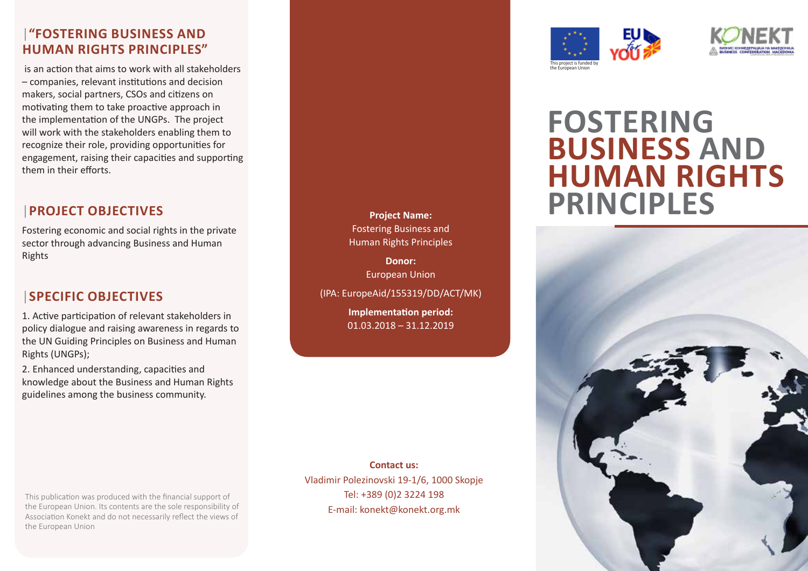#### |**"FOSTERING BUSINESS AND HUMAN RIGHTS PRINCIPLES"**

 is an action that aims to work with all stakeholders – companies, relevant institutions and decision makers, social partners, CSOs and citizens on motivating them to take proactive approach in the implementation of the UNGPs. The project will work with the stakeholders enabling them to recognize their role, providing opportunities for engagement, raising their capacities and supporting them in their efforts.

# |**PROJECT OBJECTIVES**

Fostering economic and social rights in the private sector through advancing Business and Human Rights

#### |**SPECIFIC OBJECTIVES**

1. Active participation of relevant stakeholders in policy dialogue and raising awareness in regards to the UN Guiding Principles on Business and Human Rights (UNGPs);

2. Enhanced understanding, capacities and knowledge about the Business and Human Rights guidelines among the business community.

This publication was produced with the financial support of the European Union. Its contents are the sole responsibility of Association Konekt and do not necessarily reflect the views of the European Union



Fostering Business and Human Rights Principles **Donor:** European Union

(IPA: EuropeAid/155319/DD/ACT/MK) **Implementation period:** 01.03.2018 – 31.12.2019





# **FOSTERING BUSINESS AND HUMAN RIGHTS PRINCIPLES**